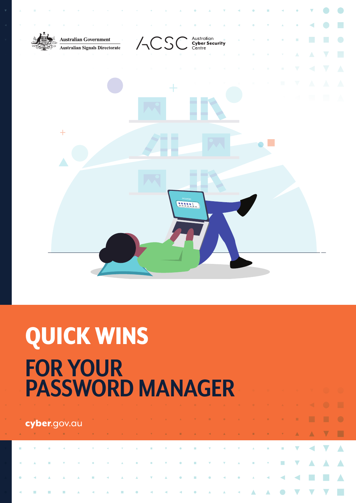

# QUICK WINS. **FOR YOUR PASSWORD MANAGER.**

| <b>Cyber.</b> gov.au de la communicación de la communicación de la communicación de la communicación de la communicació                                                                                                              |  |  |  |  |  |  |  |  |  |  |  |
|--------------------------------------------------------------------------------------------------------------------------------------------------------------------------------------------------------------------------------------|--|--|--|--|--|--|--|--|--|--|--|
| A V Y H V H V H V H V A V Y A B A K A A B A H V A A A A A                                                                                                                                                                            |  |  |  |  |  |  |  |  |  |  |  |
|                                                                                                                                                                                                                                      |  |  |  |  |  |  |  |  |  |  |  |
| <b>KIND OF A REPORT OF A REPORT OF A REPORT OF A REPORT OF A REPORT OF A REPORT OF A REPORT OF A REPORT OF A REPORT OF A REPORT OF A REPORT OF A REPORT OF A REPORT OF A REPORT OF A REPORT OF A REPORT OF A REPORT OF A REPORT </b> |  |  |  |  |  |  |  |  |  |  |  |
|                                                                                                                                                                                                                                      |  |  |  |  |  |  |  |  |  |  |  |
|                                                                                                                                                                                                                                      |  |  |  |  |  |  |  |  |  |  |  |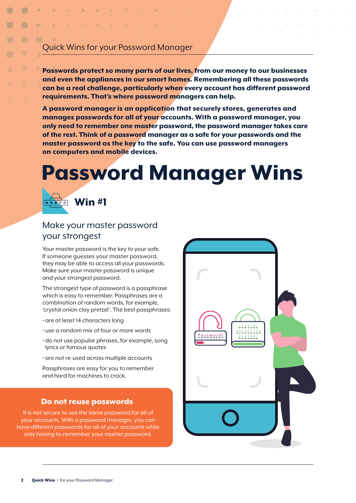# Quick Wins for your Password Manager.

Passwords protect so many parts of our lives, from our money to our businesses and even the appliances in our smart homes. Remembering all these passwords can be a real challenge, particularly when every account has different password requirements. That's where password managers can help.

A password manager is an application that securely stores, generates and manages passwords for all of your accounts. With a password manager, you only need to remember one master password, the password manager takes care of the rest. Think of a password manager as a safe for your passwords and the master password as the key to the safe. You can use password managers on computers and mobile devices.

# Password Manager Wins.



### Make your master password your strongest.

Your master password is the key to your safe. If someone guesses your master password, they may be able to access all your passwords. Make sure your master password is unique and your strongest password.

The strongest type of password is a passphrase which is easy to remember. Passphrases are a combination of random words, for example, 'crystal onion clay pretzel'. The best passphrases:

- are at least 14 characters long
- use a random mix of four or more words
- do not use popular phrases, for example, song lyrics or famous quotes
- are not re-used across multiple accounts

Passphrases are easy for you to remember and hard for machines to crack.

#### Do not reuse passwords.

It is not secure to use the same password for all of your accounts. With a password manager, you can have different passwords for all of your accounts while only having to remember your master password.

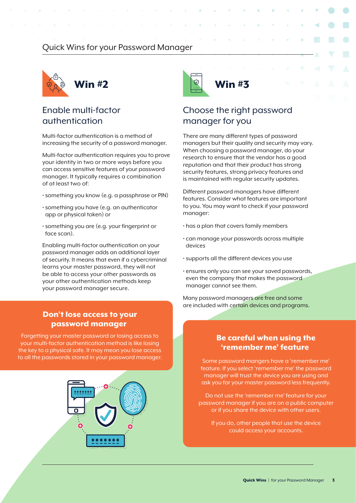## Quick Wins for your Password Manager.



# Enable multi-factor authentication.

Multi-factor authentication is a method of increasing the security of a password manager.

Multi-factor authentication requires you to prove your identity in two or more ways before you can access sensitive features of your password manager. It typically requires a combination of at least two of:

- something you know (e.g. a passphrase or PIN)
- something you have (e.g. an authenticator app or physical token) or
- something you are (e.g. your fingerprint or face scan).

Enabling multi-factor authentication on your password manager adds an additional layer of security. It means that even if a cybercriminal learns your master password, they will not be able to access your other passwords as your other authentication methods keep your password manager secure.

#### Don't lose access to your password manager.

Forgetting your master password or losing access to your multi-factor authentication method is like losing the key to a physical safe. It may mean you lose access to all the passwords stored in your password manager.





# Choose the right password manager for you.

There are many different types of password managers but their quality and security may vary. When choosing a password manager, do your research to ensure that the vendor has a good reputation and that their product has strong security features, strong privacy features and is maintained with regular security updates.

Different password managers have different features. Consider what features are important to you. You may want to check if your password manager:

- has a plan that covers family members
- can manage your passwords across multiple devices
- supports all the different devices you use
- ensures only you can see your saved passwords, even the company that makes the password manager cannot see them.

Many password managers are free and some are included with certain devices and programs.

#### Be careful when using the 'remember me' feature.

Some password mangers have a 'remember me' feature. If you select 'remember me' the password manager will trust the device you are using and ask you for your master password less frequently.

Do not use the 'remember me' feature for your password manager if you are on a public computer or if you share the device with other users.

If you do, other people that use the device could access your accounts.